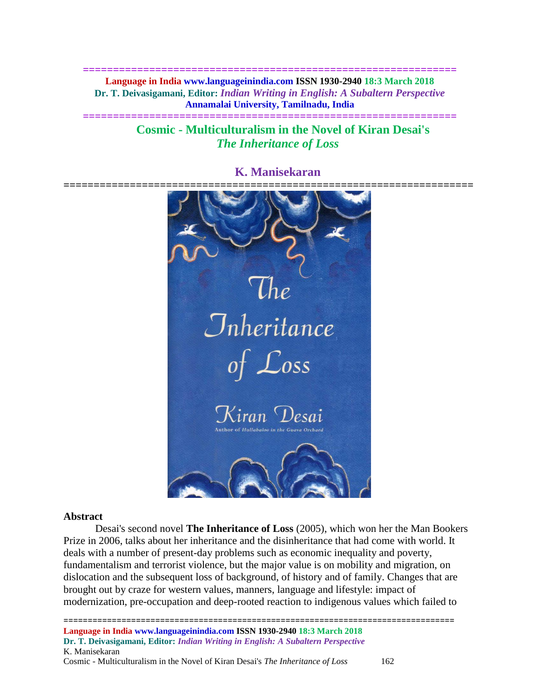**============================================================== Language in India www.languageinindia.com ISSN 1930-2940 18:3 March 2018 Dr. T. Deivasigamani, Editor:** *Indian Writing in English: A Subaltern Perspective* **Annamalai University, Tamilnadu, India**

**==============================================================**

**Cosmic - Multiculturalism in the Novel of Kiran Desai's** *The Inheritance of Loss*

# **K. Manisekaran**



#### **Abstract**

Desai's second novel **The Inheritance of Loss** (2005), which won her the Man Bookers Prize in 2006, talks about her inheritance and the disinheritance that had come with world. It deals with a number of present-day problems such as economic inequality and poverty, fundamentalism and terrorist violence, but the major value is on mobility and migration, on dislocation and the subsequent loss of background, of history and of family. Changes that are brought out by craze for western values, manners, language and lifestyle: impact of modernization, pre-occupation and deep-rooted reaction to indigenous values which failed to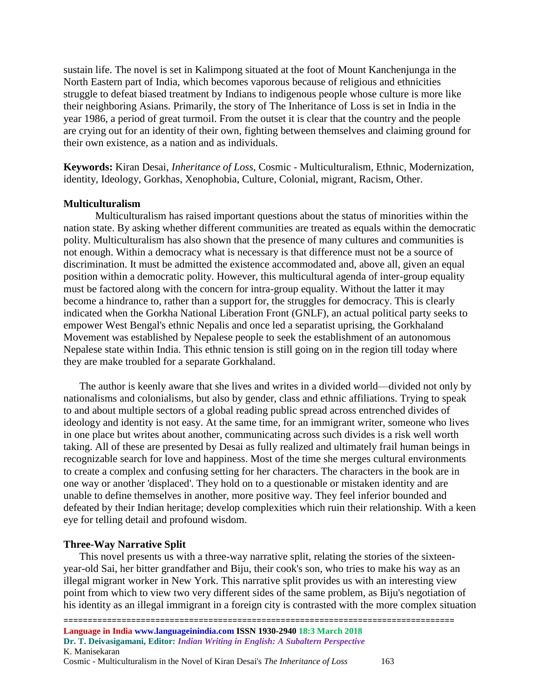sustain life. The novel is set in Kalimpong situated at the foot of Mount Kanchenjunga in the North Eastern part of India, which becomes vaporous because of religious and ethnicities struggle to defeat biased treatment by Indians to indigenous people whose culture is more like their neighboring Asians. Primarily, the story of The Inheritance of Loss is set in India in the year 1986, a period of great turmoil. From the outset it is clear that the country and the people are crying out for an identity of their own, fighting between themselves and claiming ground for their own existence, as a nation and as individuals.

**Keywords:** Kiran Desai, *Inheritance of Loss,* Cosmic - Multiculturalism, Ethnic, Modernization, identity, Ideology, Gorkhas, Xenophobia, Culture, Colonial, migrant, Racism, Other.

### **Multiculturalism**

Multiculturalism has raised important questions about the status of minorities within the nation state. By asking whether different communities are treated as equals within the democratic polity. Multiculturalism has also shown that the presence of many cultures and communities is not enough. Within a democracy what is necessary is that difference must not be a source of discrimination. It must be admitted the existence accommodated and, above all, given an equal position within a democratic polity. However, this multicultural agenda of inter-group equality must be factored along with the concern for intra-group equality. Without the latter it may become a hindrance to, rather than a support for, the struggles for democracy. This is clearly indicated when the Gorkha National Liberation Front (GNLF), an actual political party seeks to empower West Bengal's ethnic Nepalis and once led a separatist uprising, the Gorkhaland Movement was established by Nepalese people to seek the establishment of an autonomous Nepalese state within India. This ethnic tension is still going on in the region till today where they are make troubled for a separate Gorkhaland.

The author is keenly aware that she lives and writes in a divided world—divided not only by nationalisms and colonialisms, but also by gender, class and ethnic affiliations. Trying to speak to and about multiple sectors of a global reading public spread across entrenched divides of ideology and identity is not easy. At the same time, for an immigrant writer, someone who lives in one place but writes about another, communicating across such divides is a risk well worth taking. All of these are presented by Desai as fully realized and ultimately frail human beings in recognizable search for love and happiness. Most of the time she merges cultural environments to create a complex and confusing setting for her characters. The characters in the book are in one way or another 'displaced'. They hold on to a questionable or mistaken identity and are unable to define themselves in another, more positive way. They feel inferior bounded and defeated by their Indian heritage; develop complexities which ruin their relationship. With a keen eye for telling detail and profound wisdom.

#### **Three-Way Narrative Split**

This novel presents us with a three-way narrative split, relating the stories of the sixteenyear-old Sai, her bitter grandfather and Biju, their cook's son, who tries to make his way as an illegal migrant worker in New York. This narrative split provides us with an interesting view point from which to view two very different sides of the same problem, as Biju's negotiation of his identity as an illegal immigrant in a foreign city is contrasted with the more complex situation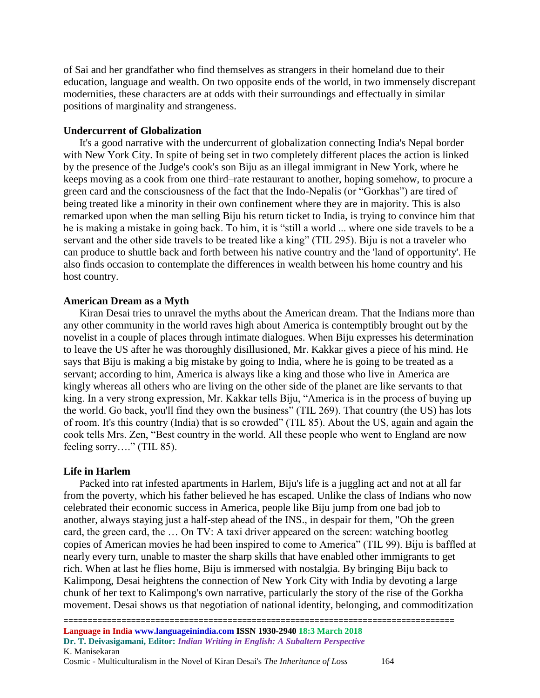of Sai and her grandfather who find themselves as strangers in their homeland due to their education, language and wealth. On two opposite ends of the world, in two immensely discrepant modernities, these characters are at odds with their surroundings and effectually in similar positions of marginality and strangeness.

### **Undercurrent of Globalization**

It's a good narrative with the undercurrent of globalization connecting India's Nepal border with New York City. In spite of being set in two completely different places the action is linked by the presence of the Judge's cook's son Biju as an illegal immigrant in New York, where he keeps moving as a cook from one third–rate restaurant to another, hoping somehow, to procure a green card and the consciousness of the fact that the Indo-Nepalis (or "Gorkhas") are tired of being treated like a minority in their own confinement where they are in majority. This is also remarked upon when the man selling Biju his return ticket to India, is trying to convince him that he is making a mistake in going back. To him, it is "still a world ... where one side travels to be a servant and the other side travels to be treated like a king" (TIL 295). Biju is not a traveler who can produce to shuttle back and forth between his native country and the 'land of opportunity'. He also finds occasion to contemplate the differences in wealth between his home country and his host country.

#### **American Dream as a Myth**

Kiran Desai tries to unravel the myths about the American dream. That the Indians more than any other community in the world raves high about America is contemptibly brought out by the novelist in a couple of places through intimate dialogues. When Biju expresses his determination to leave the US after he was thoroughly disillusioned, Mr. Kakkar gives a piece of his mind. He says that Biju is making a big mistake by going to India, where he is going to be treated as a servant; according to him, America is always like a king and those who live in America are kingly whereas all others who are living on the other side of the planet are like servants to that king. In a very strong expression, Mr. Kakkar tells Biju, "America is in the process of buying up the world. Go back, you'll find they own the business" (TIL 269). That country (the US) has lots of room. It's this country (India) that is so crowded" (TIL 85). About the US, again and again the cook tells Mrs. Zen, "Best country in the world. All these people who went to England are now feeling sorry…." (TIL 85).

#### **Life in Harlem**

Packed into rat infested apartments in Harlem, Biju's life is a juggling act and not at all far from the poverty, which his father believed he has escaped. Unlike the class of Indians who now celebrated their economic success in America, people like Biju jump from one bad job to another, always staying just a half-step ahead of the INS., in despair for them, "Oh the green card, the green card, the … On TV: A taxi driver appeared on the screen: watching bootleg copies of American movies he had been inspired to come to America" (TIL 99). Biju is baffled at nearly every turn, unable to master the sharp skills that have enabled other immigrants to get rich. When at last he flies home, Biju is immersed with nostalgia. By bringing Biju back to Kalimpong, Desai heightens the connection of New York City with India by devoting a large chunk of her text to Kalimpong's own narrative, particularly the story of the rise of the Gorkha movement. Desai shows us that negotiation of national identity, belonging, and commoditization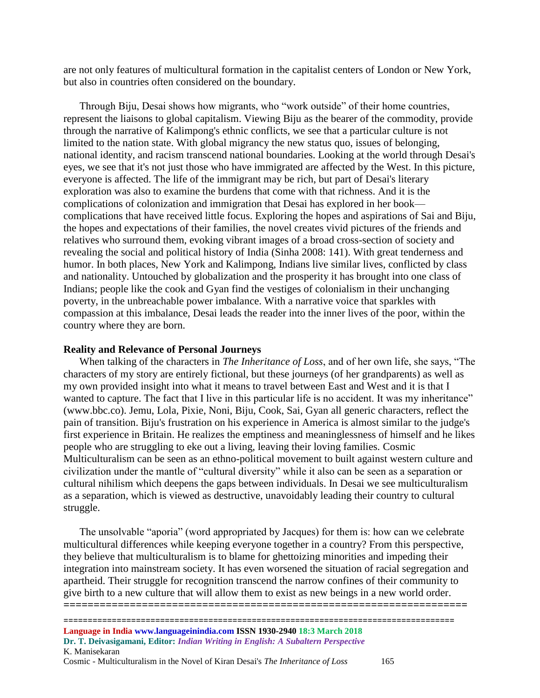are not only features of multicultural formation in the capitalist centers of London or New York, but also in countries often considered on the boundary.

Through Biju, Desai shows how migrants, who "work outside" of their home countries, represent the liaisons to global capitalism. Viewing Biju as the bearer of the commodity, provide through the narrative of Kalimpong's ethnic conflicts, we see that a particular culture is not limited to the nation state. With global migrancy the new status quo, issues of belonging, national identity, and racism transcend national boundaries. Looking at the world through Desai's eyes, we see that it's not just those who have immigrated are affected by the West. In this picture, everyone is affected. The life of the immigrant may be rich, but part of Desai's literary exploration was also to examine the burdens that come with that richness. And it is the complications of colonization and immigration that Desai has explored in her book complications that have received little focus. Exploring the hopes and aspirations of Sai and Biju, the hopes and expectations of their families, the novel creates vivid pictures of the friends and relatives who surround them, evoking vibrant images of a broad cross-section of society and revealing the social and political history of India (Sinha 2008: 141). With great tenderness and humor. In both places, New York and Kalimpong, Indians live similar lives, conflicted by class and nationality. Untouched by globalization and the prosperity it has brought into one class of Indians; people like the cook and Gyan find the vestiges of colonialism in their unchanging poverty, in the unbreachable power imbalance. With a narrative voice that sparkles with compassion at this imbalance, Desai leads the reader into the inner lives of the poor, within the country where they are born.

#### **Reality and Relevance of Personal Journeys**

When talking of the characters in *The Inheritance of Loss*, and of her own life, she says, "The characters of my story are entirely fictional, but these journeys (of her grandparents) as well as my own provided insight into what it means to travel between East and West and it is that I wanted to capture. The fact that I live in this particular life is no accident. It was my inheritance" (www.bbc.co). Jemu, Lola, Pixie, Noni, Biju, Cook, Sai, Gyan all generic characters, reflect the pain of transition. Biju's frustration on his experience in America is almost similar to the judge's first experience in Britain. He realizes the emptiness and meaninglessness of himself and he likes people who are struggling to eke out a living, leaving their loving families. Cosmic Multiculturalism can be seen as an ethno-political movement to built against western culture and civilization under the mantle of "cultural diversity" while it also can be seen as a separation or cultural nihilism which deepens the gaps between individuals. In Desai we see multiculturalism as a separation, which is viewed as destructive, unavoidably leading their country to cultural struggle.

The unsolvable "aporia" (word appropriated by Jacques) for them is: how can we celebrate multicultural differences while keeping everyone together in a country? From this perspective, they believe that multiculturalism is to blame for ghettoizing minorities and impeding their integration into mainstream society. It has even worsened the situation of racial segregation and apartheid. Their struggle for recognition transcend the narrow confines of their community to give birth to a new culture that will allow them to exist as new beings in a new world order. **===================================================================**